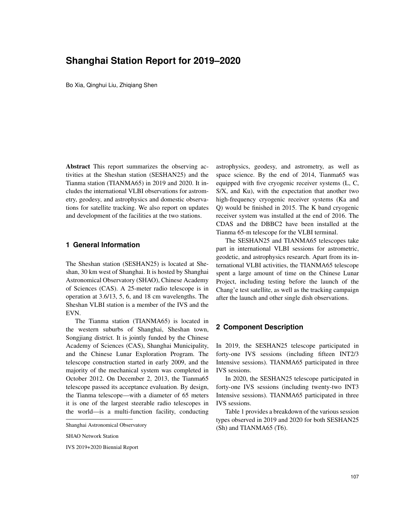# **Shanghai Station Report for 2019–2020**

Bo Xia, Qinghui Liu, Zhiqiang Shen

Abstract This report summarizes the observing activities at the Sheshan station (SESHAN25) and the Tianma station (TIANMA65) in 2019 and 2020. It includes the international VLBI observations for astrometry, geodesy, and astrophysics and domestic observations for satellite tracking. We also report on updates and development of the facilities at the two stations.

#### **1 General Information**

The Sheshan station (SESHAN25) is located at Sheshan, 30 km west of Shanghai. It is hosted by Shanghai Astronomical Observatory (SHAO), Chinese Academy of Sciences (CAS). A 25-meter radio telescope is in operation at 3.6/13, 5, 6, and 18 cm wavelengths. The Sheshan VLBI station is a member of the IVS and the EVN.

The Tianma station (TIANMA65) is located in the western suburbs of Shanghai, Sheshan town, Songjiang district. It is jointly funded by the Chinese Academy of Sciences (CAS), Shanghai Municipality, and the Chinese Lunar Exploration Program. The telescope construction started in early 2009, and the majority of the mechanical system was completed in October 2012. On December 2, 2013, the Tianma65 telescope passed its acceptance evaluation. By design, the Tianma telescope—with a diameter of 65 meters it is one of the largest steerable radio telescopes in the world—is a multi-function facility, conducting

IVS 2019+2020 Biennial Report

astrophysics, geodesy, and astrometry, as well as space science. By the end of 2014, Tianma65 was equipped with five cryogenic receiver systems (L, C, S/X, and Ku), with the expectation that another two high-frequency cryogenic receiver systems (Ka and Q) would be finished in 2015. The K band cryogenic receiver system was installed at the end of 2016. The CDAS and the DBBC2 have been installed at the Tianma 65-m telescope for the VLBI terminal.

The SESHAN25 and TIANMA65 telescopes take part in international VLBI sessions for astrometric, geodetic, and astrophysics research. Apart from its international VLBI activities, the TIANMA65 telescope spent a large amount of time on the Chinese Lunar Project, including testing before the launch of the Chang'e test satellite, as well as the tracking campaign after the launch and other single dish observations.

#### **2 Component Description**

In 2019, the SESHAN25 telescope participated in forty-one IVS sessions (including fifteen INT2/3 Intensive sessions). TIANMA65 participated in three IVS sessions.

In 2020, the SESHAN25 telescope participated in forty-one IVS sessions (including twenty-two INT3 Intensive sessions). TIANMA65 participated in three IVS sessions.

Table 1 provides a breakdown of the various session types observed in 2019 and 2020 for both SESHAN25 (Sh) and TIANMA65 (T6).

Shanghai Astronomical Observatory

SHAO Network Station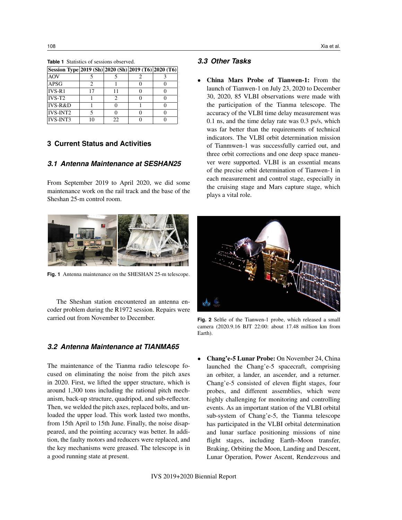| Session Type 2019 (Sh) 2020 (Sh) 2019 (T6) 2020 (T6) |    |    |  |
|------------------------------------------------------|----|----|--|
| AOV                                                  |    |    |  |
| APSG                                                 |    |    |  |
| $IVS-R1$                                             | 17 |    |  |
| $IVS-T2$                                             |    |    |  |
| $IVS-R&D$                                            |    |    |  |
| IVS-INT2                                             |    |    |  |
| <b>IVS-INT3</b>                                      |    | 22 |  |

**Table 1** Statistics of sessions observed.

#### **3 Current Status and Activities**

#### *3.1 Antenna Maintenance at SESHAN25*

From September 2019 to April 2020, we did some maintenance work on the rail track and the base of the Sheshan 25-m control room.



**Fig. 1** Antenna maintenance on the SHESHAN 25-m telescope.

The Sheshan station encountered an antenna encoder problem during the R1972 session. Repairs were carried out from November to December.

## *3.2 Antenna Maintenance at TIANMA65*

The maintenance of the Tianma radio telescope focused on eliminating the noise from the pitch axes in 2020. First, we lifted the upper structure, which is around 1,300 tons including the rational pitch mechanism, back-up structure, quadripod, and sub-reflector. Then, we welded the pitch axes, replaced bolts, and unloaded the upper load. This work lasted two months, from 15th April to 15th June. Finally, the noise disappeared, and the pointing accuracy was better. In addition, the faulty motors and reducers were replaced, and the key mechanisms were greased. The telescope is in a good running state at present.

## *3.3 Other Tasks*

• China Mars Probe of Tianwen-1: From the launch of Tianwen-1 on July 23, 2020 to December 30, 2020, 85 VLBI observations were made with the participation of the Tianma telescope. The accuracy of the VLBI time delay measurement was 0.1 ns, and the time delay rate was 0.3 ps/s, which was far better than the requirements of technical indicators. The VLBI orbit determination mission of Tianmwen-1 was successfully carried out, and three orbit corrections and one deep space maneuver were supported. VLBI is an essential means of the precise orbit determination of Tianwen-1 in each measurement and control stage, especially in the cruising stage and Mars capture stage, which plays a vital role.



**Fig. 2** Selfie of the Tianwen-1 probe, which released a small camera (2020.9.16 BJT 22:00: about 17.48 million km from Earth).

• Chang'e-5 Lunar Probe: On November 24, China launched the Chang'e-5 spacecraft, comprising an orbiter, a lander, an ascender, and a returner. Chang'e-5 consisted of eleven flight stages, four probes, and different assemblies, which were highly challenging for monitoring and controlling events. As an important station of the VLBI orbital sub-system of Chang'e-5, the Tianma telescope has participated in the VLBI orbital determination and lunar surface positioning missions of nine flight stages, including Earth–Moon transfer, Braking, Orbiting the Moon, Landing and Descent, Lunar Operation, Power Ascent, Rendezvous and